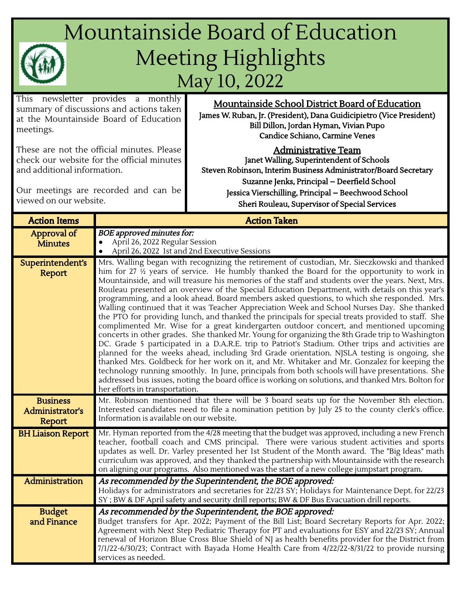## Mountainside Board of Education Meeting Highlights May 10, 2022

This newsletter provides a monthly summary of discussions and actions taken at the Mountainside Board of Education meetings.

These are not the official minutes. Please check our website for the official minutes and additional information.

Our meetings are recorded and can be viewed on our website.

Mountainside School District Board of Education James W. Ruban, Jr. (President), Dana Guidicipietro (Vice President) Bill Dillon, Jordan Hyman, Vivian Pupo Candice Schiano, Carmine Venes

## Administrative Team

Janet Walling, Superintendent of Schools Steven Robinson, Interim Business Administrator/Board Secretary Suzanne Jenks, Principal – Deerfield School Jessica Vierschilling, Principal – Beechwood School Sheri Rouleau, Supervisor of Special Services

| <b>Action Items</b>                          | <b>Action Taken</b>                                                                                                                                                                                                                                                                                                                                                                                                                                                                                                                                                                                                                                                                                                                                                                                                                                                                                                                                                                                                                                                                                                                                                                                                                                                                                                                                                                                                                                     |  |  |  |  |  |
|----------------------------------------------|---------------------------------------------------------------------------------------------------------------------------------------------------------------------------------------------------------------------------------------------------------------------------------------------------------------------------------------------------------------------------------------------------------------------------------------------------------------------------------------------------------------------------------------------------------------------------------------------------------------------------------------------------------------------------------------------------------------------------------------------------------------------------------------------------------------------------------------------------------------------------------------------------------------------------------------------------------------------------------------------------------------------------------------------------------------------------------------------------------------------------------------------------------------------------------------------------------------------------------------------------------------------------------------------------------------------------------------------------------------------------------------------------------------------------------------------------------|--|--|--|--|--|
| Approval of<br><b>Minutes</b>                | <b>BOE</b> approved minutes for:<br>April 26, 2022 Regular Session<br>April 26, 2022 1st and 2nd Executive Sessions                                                                                                                                                                                                                                                                                                                                                                                                                                                                                                                                                                                                                                                                                                                                                                                                                                                                                                                                                                                                                                                                                                                                                                                                                                                                                                                                     |  |  |  |  |  |
| Superintendent's<br>Report                   | Mrs. Walling began with recognizing the retirement of custodian, Mr. Sieczkowski and thanked<br>him for 27 $\frac{1}{2}$ years of service. He humbly thanked the Board for the opportunity to work in<br>Mountainside, and will treasure his memories of the staff and students over the years. Next, Mrs.<br>Rouleau presented an overview of the Special Education Department, with details on this year's<br>programming, and a look ahead. Board members asked questions, to which she responded. Mrs.<br>Walling continued that it was Teacher Appreciation Week and School Nurses Day. She thanked<br>the PTO for providing lunch, and thanked the principals for special treats provided to staff. She<br>complimented Mr. Wise for a great kindergarten outdoor concert, and mentioned upcoming<br>concerts in other grades. She thanked Mr. Young for organizing the 8th Grade trip to Washington<br>DC. Grade 5 participated in a D.A.R.E. trip to Patriot's Stadium. Other trips and activities are<br>planned for the weeks ahead, including 3rd Grade orientation. NJSLA testing is ongoing, she<br>thanked Mrs. Goldbeck for her work on it, and Mr. Whitaker and Mr. Gonzalez for keeping the<br>technology running smoothly. In June, principals from both schools will have presentations. She<br>addressed bus issues, noting the board office is working on solutions, and thanked Mrs. Bolton for<br>her efforts in transportation. |  |  |  |  |  |
| <b>Business</b><br>Administrator's<br>Report | Mr. Robinson mentioned that there will be 3 board seats up for the November 8th election.<br>Interested candidates need to file a nomination petition by July 25 to the county clerk's office.<br>Information is available on our website.                                                                                                                                                                                                                                                                                                                                                                                                                                                                                                                                                                                                                                                                                                                                                                                                                                                                                                                                                                                                                                                                                                                                                                                                              |  |  |  |  |  |
| <b>BH Liaison Report</b>                     | Mr. Hyman reported from the 4/28 meeting that the budget was approved, including a new French<br>teacher, football coach and CMS principal. There were various student activities and sports<br>updates as well. Dr. Varley presented her 1st Student of the Month award. The "Big Ideas" math<br>curriculum was approved, and they thanked the partnership with Mountainside with the research<br>on aligning our programs. Also mentioned was the start of a new college jumpstart program.                                                                                                                                                                                                                                                                                                                                                                                                                                                                                                                                                                                                                                                                                                                                                                                                                                                                                                                                                           |  |  |  |  |  |
| Administration                               | As recommended by the Superintendent, the BOE approved:<br>Holidays for administrators and secretaries for 22/23 SY; Holidays for Maintenance Dept. for 22/23<br>SY; BW & DF April safety and security drill reports; BW & DF Bus Evacuation drill reports.                                                                                                                                                                                                                                                                                                                                                                                                                                                                                                                                                                                                                                                                                                                                                                                                                                                                                                                                                                                                                                                                                                                                                                                             |  |  |  |  |  |
| <b>Budget</b><br>and Finance                 | As recommended by the Superintendent, the BOE approved:<br>Budget transfers for Apr. 2022; Payment of the Bill List; Board Secretary Reports for Apr. 2022;<br>Agreement with Next Step Pediatric Therapy for PT and evaluations for ESY and 22/23 SY; Annual<br>renewal of Horizon Blue Cross Blue Shield of NJ as health benefits provider for the District from<br>7/1/22-6/30/23; Contract with Bayada Home Health Care from 4/22/22-8/31/22 to provide nursing<br>services as needed.                                                                                                                                                                                                                                                                                                                                                                                                                                                                                                                                                                                                                                                                                                                                                                                                                                                                                                                                                              |  |  |  |  |  |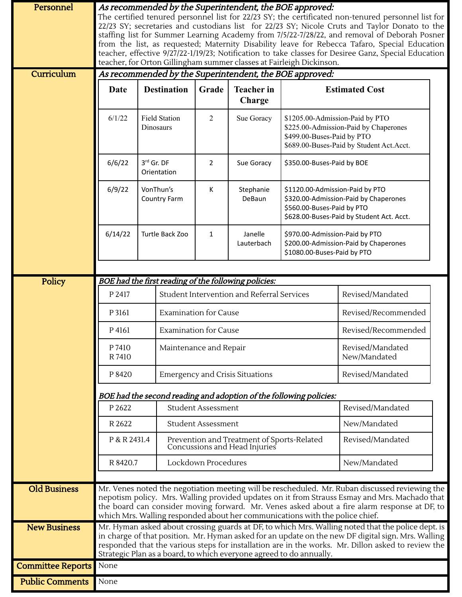| Personnel                | As recommended by the Superintendent, the BOE approved:<br>The certified tenured personnel list for 22/23 SY; the certificated non-tenured personnel list for<br>22/23 SY; secretaries and custodians list for 22/23 SY; Nicole Cruts and Taylor Donato to the<br>staffing list for Summer Learning Academy from 7/5/22-7/28/22, and removal of Deborah Posner<br>from the list, as requested; Maternity Disability leave for Rebecca Tafaro, Special Education<br>teacher, effective 9/27/22-1/19/23; Notification to take classes for Desiree Ganz, Special Education |                                                                          |                                                                             |                                            |                             |                                                                                                                                                    |                                                                                                                                                     |                            |  |
|--------------------------|-------------------------------------------------------------------------------------------------------------------------------------------------------------------------------------------------------------------------------------------------------------------------------------------------------------------------------------------------------------------------------------------------------------------------------------------------------------------------------------------------------------------------------------------------------------------------|--------------------------------------------------------------------------|-----------------------------------------------------------------------------|--------------------------------------------|-----------------------------|----------------------------------------------------------------------------------------------------------------------------------------------------|-----------------------------------------------------------------------------------------------------------------------------------------------------|----------------------------|--|
|                          | teacher, for Orton Gillingham summer classes at Fairleigh Dickinson.                                                                                                                                                                                                                                                                                                                                                                                                                                                                                                    |                                                                          |                                                                             |                                            |                             |                                                                                                                                                    |                                                                                                                                                     |                            |  |
| Curriculum               | As recommended by the Superintendent, the BOE approved:                                                                                                                                                                                                                                                                                                                                                                                                                                                                                                                 |                                                                          |                                                                             |                                            |                             |                                                                                                                                                    |                                                                                                                                                     |                            |  |
|                          | Date                                                                                                                                                                                                                                                                                                                                                                                                                                                                                                                                                                    |                                                                          | <b>Destination</b>                                                          | Grade                                      | <b>Teacher</b> in<br>Charge |                                                                                                                                                    | <b>Estimated Cost</b>                                                                                                                               |                            |  |
|                          | 6/1/22                                                                                                                                                                                                                                                                                                                                                                                                                                                                                                                                                                  | <b>Field Station</b><br>Dinosaurs<br>3rd Gr. DF<br>6/6/22<br>Orientation |                                                                             | $\overline{2}$                             | Sue Goracy                  | \$1205.00-Admission-Paid by PTO<br>\$225.00-Admission-Paid by Chaperones<br>\$499.00-Buses-Paid by PTO<br>\$689.00-Buses-Paid by Student Act.Acct. |                                                                                                                                                     |                            |  |
|                          |                                                                                                                                                                                                                                                                                                                                                                                                                                                                                                                                                                         |                                                                          |                                                                             |                                            |                             | 2                                                                                                                                                  | Sue Goracy                                                                                                                                          | \$350.00-Buses-Paid by BOE |  |
|                          | 6/9/22                                                                                                                                                                                                                                                                                                                                                                                                                                                                                                                                                                  | VonThun's<br>Country Farm                                                |                                                                             | К                                          | Stephanie<br>DeBaun         |                                                                                                                                                    | \$1120.00-Admission-Paid by PTO<br>\$320.00-Admission-Paid by Chaperones<br>\$560.00-Buses-Paid by PTO<br>\$628.00-Buses-Paid by Student Act. Acct. |                            |  |
|                          | 6/14/22                                                                                                                                                                                                                                                                                                                                                                                                                                                                                                                                                                 |                                                                          | Turtle Back Zoo                                                             | $\mathbf{1}$                               | Janelle<br>Lauterbach       | \$970.00-Admission-Paid by PTO<br>\$200.00-Admission-Paid by Chaperones<br>\$1080.00-Buses-Paid by PTO                                             |                                                                                                                                                     |                            |  |
|                          |                                                                                                                                                                                                                                                                                                                                                                                                                                                                                                                                                                         |                                                                          |                                                                             |                                            |                             |                                                                                                                                                    |                                                                                                                                                     |                            |  |
| Policy                   | BOE had the first reading of the following policies:                                                                                                                                                                                                                                                                                                                                                                                                                                                                                                                    |                                                                          |                                                                             |                                            |                             |                                                                                                                                                    |                                                                                                                                                     |                            |  |
|                          | P 2417                                                                                                                                                                                                                                                                                                                                                                                                                                                                                                                                                                  |                                                                          |                                                                             | Student Intervention and Referral Services |                             |                                                                                                                                                    | Revised/Mandated                                                                                                                                    |                            |  |
|                          | P 3161                                                                                                                                                                                                                                                                                                                                                                                                                                                                                                                                                                  | <b>Examination for Cause</b>                                             |                                                                             |                                            |                             | Revised/Recommended                                                                                                                                |                                                                                                                                                     |                            |  |
|                          | P 4161                                                                                                                                                                                                                                                                                                                                                                                                                                                                                                                                                                  |                                                                          | <b>Examination for Cause</b>                                                |                                            |                             | Revised/Recommended                                                                                                                                |                                                                                                                                                     |                            |  |
|                          | P 7410<br>R 7410                                                                                                                                                                                                                                                                                                                                                                                                                                                                                                                                                        | Maintenance and Repair                                                   |                                                                             |                                            |                             | Revised/Mandated<br>New/Mandated                                                                                                                   |                                                                                                                                                     |                            |  |
|                          | P 8420                                                                                                                                                                                                                                                                                                                                                                                                                                                                                                                                                                  |                                                                          | <b>Emergency and Crisis Situations</b>                                      |                                            |                             |                                                                                                                                                    | Revised/Mandated                                                                                                                                    |                            |  |
|                          |                                                                                                                                                                                                                                                                                                                                                                                                                                                                                                                                                                         | BOE had the second reading and adoption of the following policies:       |                                                                             |                                            |                             |                                                                                                                                                    |                                                                                                                                                     |                            |  |
|                          | P 2622                                                                                                                                                                                                                                                                                                                                                                                                                                                                                                                                                                  |                                                                          | <b>Student Assessment</b>                                                   | Revised/Mandated                           |                             |                                                                                                                                                    |                                                                                                                                                     |                            |  |
|                          | R 2622                                                                                                                                                                                                                                                                                                                                                                                                                                                                                                                                                                  | Student Assessment                                                       |                                                                             |                                            | New/Mandated                |                                                                                                                                                    |                                                                                                                                                     |                            |  |
|                          | P & R 2431.4                                                                                                                                                                                                                                                                                                                                                                                                                                                                                                                                                            |                                                                          | Prevention and Treatment of Sports-Related<br>Concussions and Head Injuries |                                            |                             | Revised/Mandated                                                                                                                                   |                                                                                                                                                     |                            |  |
|                          | R 8420.7                                                                                                                                                                                                                                                                                                                                                                                                                                                                                                                                                                |                                                                          | Lockdown Procedures                                                         |                                            |                             | New/Mandated                                                                                                                                       |                                                                                                                                                     |                            |  |
| <b>Old Business</b>      |                                                                                                                                                                                                                                                                                                                                                                                                                                                                                                                                                                         |                                                                          |                                                                             |                                            |                             |                                                                                                                                                    |                                                                                                                                                     |                            |  |
|                          | Mr. Venes noted the negotiation meeting will be rescheduled. Mr. Ruban discussed reviewing the<br>nepotism policy. Mrs. Walling provided updates on it from Strauss Esmay and Mrs. Machado that<br>the board can consider moving forward. Mr. Venes asked about a fire alarm response at DF, to<br>which Mrs. Walling responded about her communications with the police chief.                                                                                                                                                                                         |                                                                          |                                                                             |                                            |                             |                                                                                                                                                    |                                                                                                                                                     |                            |  |
| <b>New Business</b>      | Mr. Hyman asked about crossing guards at DF, to which Mrs. Walling noted that the police dept. is<br>in charge of that position. Mr. Hyman asked for an update on the new DF digital sign. Mrs. Walling<br>responded that the various steps for installation are in the works. Mr. Dillon asked to review the<br>Strategic Plan as a board, to which everyone agreed to do annually.                                                                                                                                                                                    |                                                                          |                                                                             |                                            |                             |                                                                                                                                                    |                                                                                                                                                     |                            |  |
| <b>Committee Reports</b> | None                                                                                                                                                                                                                                                                                                                                                                                                                                                                                                                                                                    |                                                                          |                                                                             |                                            |                             |                                                                                                                                                    |                                                                                                                                                     |                            |  |
| <b>Public Comments</b>   | None                                                                                                                                                                                                                                                                                                                                                                                                                                                                                                                                                                    |                                                                          |                                                                             |                                            |                             |                                                                                                                                                    |                                                                                                                                                     |                            |  |